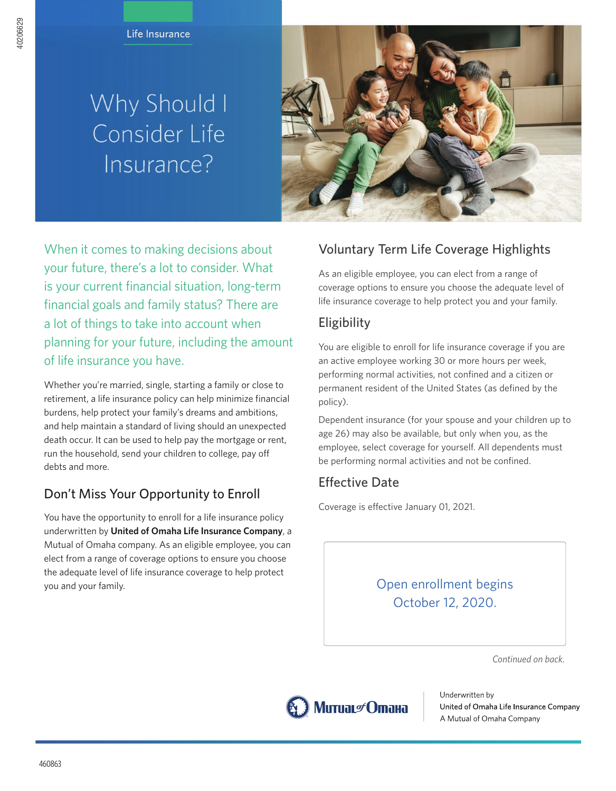# Why Should I Consider Life Insurance?



When it comes to making decisions about your future, there's a lot to consider. What is your current financial situation, long-term financial goals and family status? There are a lot of things to take into account when planning for your future, including the amount of life insurance you have.

Whether you're married, single, starting a family or close to retirement, a life insurance policy can help minimize financial burdens, help protect your family's dreams and ambitions, and help maintain a standard of living should an unexpected death occur. It can be used to help pay the mortgage or rent, run the household, send your children to college, pay off debts and more.

## Don't Miss Your Opportunity to Enroll

You have the opportunity to enroll for a life insurance policy underwritten by **United of Omaha Life Insurance Company**, a Mutual of Omaha company. As an eligible employee, you can elect from a range of coverage options to ensure you choose the adequate level of life insurance coverage to help protect you and your family.

## **Voluntary Term Life Coverage Highlights**

**As an eligible employee, you can elect from a range of coverage options to ensure you choose the adequate level of life insurance coverage to help protect you and your family.**

### **Eligibility**

**You are eligible to enroll for life insurance coverage if you are an active employee working 30 or more hours per week, performing normal activities, not confined and a citizen or permanent resident of the United States (as defined by the policy).**

**Dependent insurance (for your spouse and your children up to age 26) may also be available, but only when you, as the employee, select coverage for yourself. All dependents must be performing normal activities and not be confined.**

## **Effective Date**

**Coverage is effective January 01, 2021.**

## **Open enrollment begins October 12, 2020.**

*Continued on back.*



Underwritten by United of Omaha Life Insurance Company A Mutual of Omaha Company